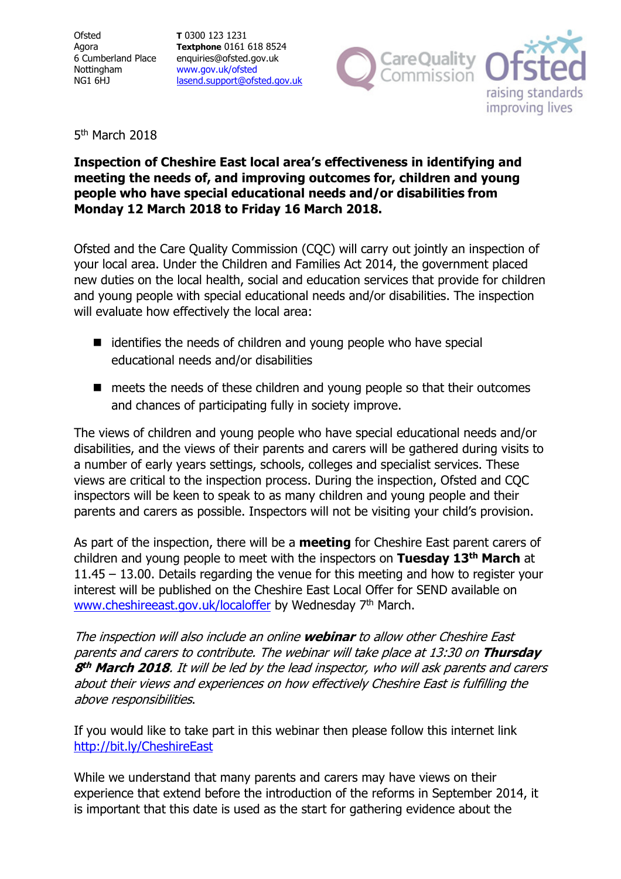**Ofsted** Agora 6 Cumberland Place Nottingham NG1 6HJ

**T** 0300 123 1231 **Textphone** 0161 618 8524 enquiries@ofsted.gov.uk www.gov.uk/ofsted lasend.support@ofsted.gov.uk



5<sup>th</sup> March 2018

## **Inspection of Cheshire East local area's effectiveness in identifying and meeting the needs of, and improving outcomes for, children and young people who have special educational needs and/or disabilities from Monday 12 March 2018 to Friday 16 March 2018.**

Ofsted and the Care Quality Commission (CQC) will carry out jointly an inspection of your local area. Under the Children and Families Act 2014, the government placed new duties on the local health, social and education services that provide for children and young people with special educational needs and/or disabilities. The inspection will evaluate how effectively the local area:

- $\blacksquare$  identifies the needs of children and young people who have special educational needs and/or disabilities
- meets the needs of these children and young people so that their outcomes and chances of participating fully in society improve.

The views of children and young people who have special educational needs and/or disabilities, and the views of their parents and carers will be gathered during visits to a number of early years settings, schools, colleges and specialist services. These views are critical to the inspection process. During the inspection, Ofsted and CQC inspectors will be keen to speak to as many children and young people and their parents and carers as possible. Inspectors will not be visiting your child's provision.

As part of the inspection, there will be a **meeting** for Cheshire East parent carers of children and young people to meet with the inspectors on **Tuesday 13th March** at 11.45 – 13.00. Details regarding the venue for this meeting and how to register your interest will be published on the Cheshire East Local Offer for SEND available on www.cheshireeast.gov.uk/localoffer by Wednesday 7<sup>th</sup> March.

The inspection will also include an online **webinar** to allow other Cheshire East parents and carers to contribute. The webinar will take place at 13:30 on **Thursday 8 th March 2018**. It will be led by the lead inspector, who will ask parents and carers about their views and experiences on how effectively Cheshire East is fulfilling the above responsibilities.

If you would like to take part in this webinar then please follow this internet link http://bit.ly/CheshireEast

While we understand that many parents and carers may have views on their experience that extend before the introduction of the reforms in September 2014, it is important that this date is used as the start for gathering evidence about the